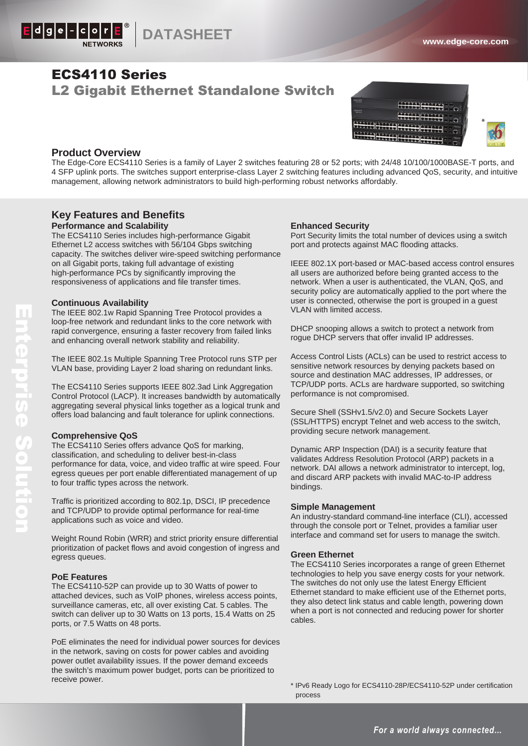

# ECS4110 Series L2 Gigabit Ethernet Standalone Switch



# **Product Overview**

The Edge-Core ECS4110 Series is a family of Layer 2 switches featuring 28 or 52 ports; with 24/48 10/100/1000BASE-T ports, and 4 SFP uplink ports. The switches support enterprise-class Layer 2 switching features including advanced QoS, security, and intuitive management, allowing network administrators to build high-performing robust networks affordably.

# **Key Features and Benefits Performance and Scalability**

The ECS4110 Series includes high-performance Gigabit Ethernet L2 access switches with 56/104 Gbps switching capacity. The switches deliver wire-speed switching performance on all Gigabit ports, taking full advantage of existing high-performance PCs by significantly improving the responsiveness of applications and file transfer times.

## **Continuous Availability**

The IEEE 802.1w Rapid Spanning Tree Protocol provides a loop-free network and redundant links to the core network with rapid convergence, ensuring a faster recovery from failed links and enhancing overall network stability and reliability.

The IEEE 802.1s Multiple Spanning Tree Protocol runs STP per VLAN base, providing Layer 2 load sharing on redundant links.

The ECS4110 Series supports IEEE 802.3ad Link Aggregation Control Protocol (LACP). It increases bandwidth by automatically aggregating several physical links together as a logical trunk and offers load balancing and fault tolerance for uplink connections.

## **Comprehensive QoS**

The ECS4110 Series offers advance QoS for marking, classification, and scheduling to deliver best-in-class performance for data, voice, and video traffic at wire speed. Four egress queues per port enable differentiated management of up to four traffic types across the network.

Traffic is prioritized according to 802.1p, DSCI, IP precedence and TCP/UDP to provide optimal performance for real-time applications such as voice and video.

Weight Round Robin (WRR) and strict priority ensure differential prioritization of packet flows and avoid congestion of ingress and egress queues.

## **PoE Features**

The ECS4110-52P can provide up to 30 Watts of power to attached devices, such as VoIP phones, wireless access points, surveillance cameras, etc, all over existing Cat. 5 cables. The switch can deliver up to 30 Watts on 13 ports, 15.4 Watts on 25 ports, or 7.5 Watts on 48 ports.

PoE eliminates the need for individual power sources for devices in the network, saving on costs for power cables and avoiding power outlet availability issues. If the power demand exceeds the switch's maximum power budget, ports can be prioritized to receive power.

## **Enhanced Security**

Port Security limits the total number of devices using a switch port and protects against MAC flooding attacks.

IEEE 802.1X port-based or MAC-based access control ensures all users are authorized before being granted access to the network. When a user is authenticated, the VLAN, QoS, and security policy are automatically applied to the port where the user is connected, otherwise the port is grouped in a guest VLAN with limited access.

DHCP snooping allows a switch to protect a network from rogue DHCP servers that offer invalid IP addresses.

Access Control Lists (ACLs) can be used to restrict access to sensitive network resources by denying packets based on source and destination MAC addresses, IP addresses, or TCP/UDP ports. ACLs are hardware supported, so switching performance is not compromised.

Secure Shell (SSHv1.5/v2.0) and Secure Sockets Layer (SSL/HTTPS) encrypt Telnet and web access to the switch, providing secure network management.

Dynamic ARP Inspection (DAI) is a security feature that validates Address Resolution Protocol (ARP) packets in a network. DAI allows a network administrator to intercept, log, and discard ARP packets with invalid MAC-to-IP address bindings.

#### **Simple Management**

An industry-standard command-line interface (CLI), accessed through the console port or Telnet, provides a familiar user interface and command set for users to manage the switch.

## **Green Ethernet**

The ECS4110 Series incorporates a range of green Ethernet technologies to help you save energy costs for your network. The switches do not only use the latest Energy Efficient Ethernet standard to make efficient use of the Ethernet ports, they also detect link status and cable length, powering down when a port is not connected and reducing power for shorter cables.

\* IPv6 Ready Logo for ECS4110-28P/ECS4110-52P under certification process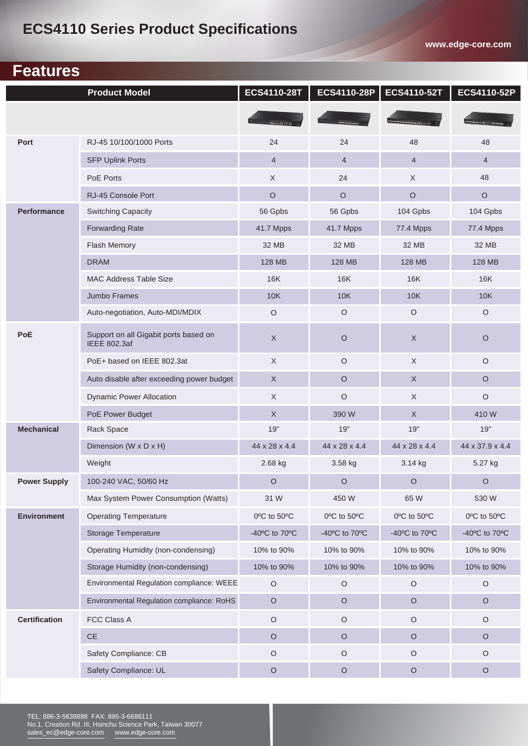# **ECS4110 Series Product Specifications**

**www.edge-core.com**

# **Features Features**

 $\overline{\phantom{a}}$ 

|                      | <b>Product Model</b>                                         | ECS4110-28T      | ECS4110-28P    | ECS4110-52T    | ECS4110-52P     |
|----------------------|--------------------------------------------------------------|------------------|----------------|----------------|-----------------|
|                      |                                                              | <b>HITTIGGAN</b> |                |                |                 |
| Port                 | RJ-45 10/100/1000 Ports                                      | 24               | 24             | 48             | 48              |
|                      | <b>SFP Uplink Ports</b>                                      | $\overline{4}$   | $\overline{4}$ | $\overline{4}$ | $\overline{4}$  |
|                      | PoE Ports                                                    | $\mathsf X$      | 24             | $\mathsf X$    | 48              |
|                      | RJ-45 Console Port                                           | $\circ$          | $\circ$        | $\circ$        | $\circ$         |
| <b>Performance</b>   | <b>Switching Capacity</b>                                    | 56 Gpbs          | 56 Gpbs        | 104 Gpbs       | 104 Gpbs        |
|                      | <b>Forwarding Rate</b>                                       | 41.7 Mpps        | 41.7 Mpps      | 77.4 Mpps      | 77.4 Mpps       |
|                      | Flash Memory                                                 | 32 MB            | 32 MB          | 32 MB          | 32 MB           |
|                      | <b>DRAM</b>                                                  | 128 MB           | 128 MB         | 128 MB         | 128 MB          |
|                      | <b>MAC Address Table Size</b>                                | <b>16K</b>       | <b>16K</b>     | <b>16K</b>     | <b>16K</b>      |
|                      | Jumbo Frames                                                 | 10K              | <b>10K</b>     | <b>10K</b>     | <b>10K</b>      |
|                      | Auto-negotiation, Auto-MDI/MDIX                              | $\circ$          | $\circ$        | $\circ$        | $\circ$         |
| <b>PoE</b>           | Support on all Gigabit ports based on<br><b>IEEE 802.3af</b> | $\mathsf X$      | $\circ$        | X              | $\circ$         |
|                      | PoE+ based on IEEE 802.3at                                   | X                | $\circ$        | X              | $\circ$         |
|                      | Auto disable after exceeding power budget                    | $\mathsf X$      | $\circ$        | $\mathsf X$    | $\circ$         |
|                      | <b>Dynamic Power Allocation</b>                              | $\times$         | $\circ$        | X              | $\circ$         |
|                      | PoE Power Budget                                             | $\mathsf X$      | 390 W          | $\mathsf X$    | 410W            |
| <b>Mechanical</b>    | Rack Space                                                   | 19"              | 19"            | 19"            | 19"             |
|                      | Dimension (W x D x H)                                        | 44 x 28 x 4.4    | 44 x 28 x 4.4  | 44 x 28 x 4.4  | 44 x 37.9 x 4.4 |
|                      | Weight                                                       | 2.68 kg          | 3.58 kg        | 3.14 kg        | 5.27 kg         |
| <b>Power Supply</b>  | 100-240 VAC, 50/60 Hz                                        | $\circ$          | $\circ$        | $\circ$        | $\circ$         |
|                      | Max System Power Consumption (Watts)                         | 31 W             | 450 W          | 65 W           | 530 W           |
| <b>Environment</b>   | <b>Operating Temperature</b>                                 | 0°C to 50°C      | 0°C to 50°C    | 0°C to 50°C    | 0°C to 50°C     |
|                      | <b>Storage Temperature</b>                                   | -40°C to 70°C    | -40°C to 70°C  | -40°C to 70°C  | -40°C to 70°C   |
|                      | Operating Humidity (non-condensing)                          | 10% to 90%       | 10% to 90%     | 10% to 90%     | 10% to 90%      |
|                      | Storage Humidity (non-condensing)                            | 10% to 90%       | 10% to 90%     | 10% to 90%     | 10% to 90%      |
|                      | Environmental Regulation compliance: WEEE                    | $\bigcirc$       | $\circ$        | $\circ$        | $\circ$         |
|                      | Environmental Regulation compliance: RoHS                    | $\mathsf O$      | $\circ$        | $\circ$        | $\mathsf O$     |
| <b>Certification</b> | FCC Class A                                                  | $\circ$          | $\bigcirc$     | $\circ$        | $\mathsf O$     |
|                      | <b>CE</b>                                                    | $\circ$          | O              | $\circ$        | $\circ$         |
|                      | Safety Compliance: CB                                        | $\circ$          | $\bigcirc$     | $\bigcirc$     | $\circ$         |
|                      | Safety Compliance: UL                                        | $\mathsf O$      | $\circ$        | $\circ$        | $\mathsf O$     |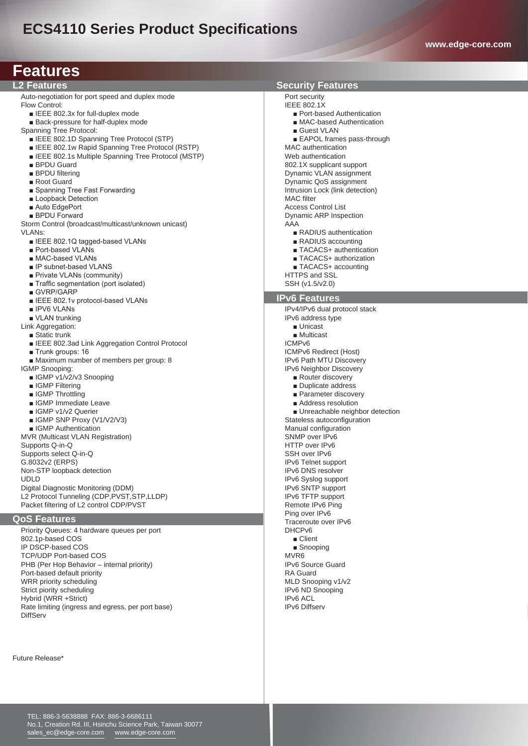# **ECS4110 Series Product Specifications**

| <b>Features</b>                                                         |                                                    |  |  |  |
|-------------------------------------------------------------------------|----------------------------------------------------|--|--|--|
| <b>L2 Features</b>                                                      | <b>Security Features</b>                           |  |  |  |
| Auto-negotiation for port speed and duplex mode                         | Port security                                      |  |  |  |
| Flow Control:                                                           | <b>IEEE 802.1X</b>                                 |  |  |  |
| EEE 802.3x for full-duplex mode                                         | ■ Port-based Authentication                        |  |  |  |
| Back-pressure for half-duplex mode                                      | ■ MAC-based Authentication                         |  |  |  |
| Spanning Tree Protocol:                                                 | ■ Guest VLAN                                       |  |  |  |
| <b>EXECUTE:</b> 802.1D Spanning Tree Protocol (STP)                     | EAPOL frames pass-through                          |  |  |  |
| <b>ELEVEL BO2.1w Rapid Spanning Tree Protocol (RSTP)</b>                | <b>MAC</b> authentication                          |  |  |  |
| <b>ELEVEL BO2.1s Multiple Spanning Tree Protocol (MSTP)</b>             | Web authentication<br>802.1X supplicant support    |  |  |  |
| ■ BPDU Guard<br><b>BPDU</b> filtering                                   | Dynamic VLAN assignment                            |  |  |  |
| ■ Root Guard                                                            | Dynamic QoS assignment                             |  |  |  |
| ■ Spanning Tree Fast Forwarding                                         | Intrusion Lock (link detection)                    |  |  |  |
| ■ Loopback Detection                                                    | <b>MAC</b> filter                                  |  |  |  |
| ■ Auto EdgePort                                                         | <b>Access Control List</b>                         |  |  |  |
| <b>BPDU Forward</b>                                                     | Dynamic ARP Inspection                             |  |  |  |
| Storm Control (broadcast/multicast/unknown unicast)                     | AAA                                                |  |  |  |
| <b>VLANs:</b>                                                           | ■ RADIUS authentication                            |  |  |  |
| ■ IEEE 802.1Q tagged-based VLANs                                        | RADIUS accounting                                  |  |  |  |
| ■ Port-based VLANs                                                      | ■ TACACS+ authentication                           |  |  |  |
| ■ MAC-based VLANs                                                       | ■ TACACS+ authorization                            |  |  |  |
| ■ IP subnet-based VLANS                                                 | TACACS+ accounting                                 |  |  |  |
| Private VLANs (community)                                               | <b>HTTPS and SSL</b>                               |  |  |  |
| ■ Traffic segmentation (port isolated)                                  | SSH (v1.5/v2.0)                                    |  |  |  |
| ■ GVRP/GARP                                                             | <b>IPv6 Features</b>                               |  |  |  |
| E IEEE 802.1v protocol-based VLANs                                      |                                                    |  |  |  |
| <b>IPV6 VLANS</b>                                                       | IPv4/IPv6 dual protocol stack                      |  |  |  |
| ■ VLAN trunking                                                         | IPv6 address type                                  |  |  |  |
| Link Aggregation:                                                       | $\blacksquare$ Unicast<br>$\blacksquare$ Multicast |  |  |  |
| ■ Static trunk<br><b>EXEC</b> 802.3ad Link Aggregation Control Protocol | ICMP <sub>v6</sub>                                 |  |  |  |
| $\blacksquare$ Trunk groups: 16                                         | ICMPv6 Redirect (Host)                             |  |  |  |
| ■ Maximum number of members per group: 8                                | <b>IPv6 Path MTU Discovery</b>                     |  |  |  |
| IGMP Snooping:                                                          | IPv6 Neighbor Discovery                            |  |  |  |
| ■ IGMP v1/v2/v3 Snooping                                                | ■ Router discovery                                 |  |  |  |
| ■ IGMP Filtering                                                        | Duplicate address                                  |  |  |  |
| ■ IGMP Throttling                                                       | ■ Parameter discovery                              |  |  |  |
| <b>B</b> IGMP Immediate Leave                                           | Address resolution                                 |  |  |  |
| ■ IGMP v1/v2 Querier                                                    | ■ Unreachable neighbor detection                   |  |  |  |
| $\blacksquare$ IGMP SNP Proxy (V1/V2/V3)                                | Stateless autoconfiguration                        |  |  |  |
| ■ IGMP Authentication                                                   | Manual configuration                               |  |  |  |
| <b>MVR (Multicast VLAN Registration)</b>                                | SNMP over IPv6                                     |  |  |  |
| Supports Q-in-Q                                                         | HTTP over IPv6                                     |  |  |  |
| Supports select Q-in-Q                                                  | SSH over IPv6                                      |  |  |  |
| G.8032v2 (ERPS)<br>Non-STP loopback detection                           | IPv6 Telnet support<br><b>IPv6 DNS resolver</b>    |  |  |  |
| <b>UDLD</b>                                                             | IPv6 Syslog support                                |  |  |  |
| Digital Diagnostic Monitoring (DDM)                                     | IPv6 SNTP support                                  |  |  |  |
| L2 Protocol Tunneling (CDP, PVST, STP, LLDP)                            | IPv6 TFTP support                                  |  |  |  |
| Packet filtering of L2 control CDP/PVST                                 | Remote IPv6 Ping                                   |  |  |  |
|                                                                         | Ping over IPv6                                     |  |  |  |
| <b>QoS Features</b>                                                     | Traceroute over IPv6                               |  |  |  |
| Priority Queues: 4 hardware queues per port                             | DHCP <sub>v6</sub>                                 |  |  |  |
| 802.1p-based COS                                                        | ■ Client                                           |  |  |  |
| IP DSCP-based COS                                                       | ■ Snooping                                         |  |  |  |
| <b>TCP/UDP Port-based COS</b>                                           | MVR <sub>6</sub>                                   |  |  |  |
| PHB (Per Hop Behavior - internal priority)                              | <b>IPv6 Source Guard</b>                           |  |  |  |
| Port-based default priority                                             | <b>RA Guard</b>                                    |  |  |  |
| WRR priority scheduling                                                 | MLD Snooping v1/v2                                 |  |  |  |
| Strict piority scheduling                                               | IPv6 ND Snooping                                   |  |  |  |
| Hybrid (WRR +Strict)                                                    | IP <sub>v6</sub> ACL                               |  |  |  |
| Rate limiting (ingress and egress, per port base)                       | <b>IPv6 Diffserv</b>                               |  |  |  |

Future Release\*

DiffServ

TEL: 886-3-5638888 FAX: 886-3-6686111 No.1, Creation Rd. III, Hsinchu Science Park, Taiwan 30077 sales\_ec@edge-core.com www.edge-core.com